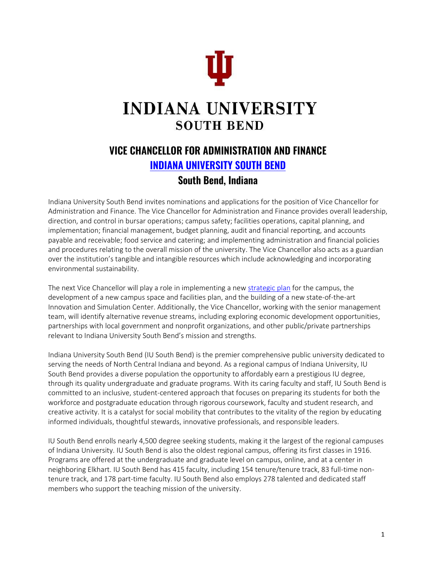

# **INDIANA UNIVERSITY SOUTH BEND**

# **VICE CHANCELLOR FOR ADMINISTRATION AND FINANCE [INDIANA UNIVERSITY SOUTH BEND](https://www.iusb.edu/) South Bend, Indiana**

Indiana University South Bend invites nominations and applications for the position of Vice Chancellor for Administration and Finance. The Vice Chancellor for Administration and Finance provides overall leadership, direction, and control in bursar operations; campus safety; facilities operations, capital planning, and implementation; financial management, budget planning, audit and financial reporting, and accounts payable and receivable; food service and catering; and implementing administration and financial policies and procedures relating to the overall mission of the university. The Vice Chancellor also acts as a guardian over the institution's tangible and intangible resources which include acknowledging and incorporating environmental sustainability.

The next Vice Chancellor will play a role in implementing a new [strategic plan](https://www.iusb.edu/chancellor/strategic-planning/index.html) for the campus, the development of a new campus space and facilities plan, and the building of a new state-of-the-art Innovation and Simulation Center. Additionally, the Vice Chancellor, working with the senior management team, will identify alternative revenue streams, including exploring economic development opportunities, partnerships with local government and nonprofit organizations, and other public/private partnerships relevant to Indiana University South Bend's mission and strengths.

Indiana University South Bend (IU South Bend) is the premier comprehensive public university dedicated to serving the needs of North Central Indiana and beyond. As a regional campus of Indiana University, IU South Bend provides a diverse population the opportunity to affordably earn a prestigious IU degree, through its quality undergraduate and graduate programs. With its caring faculty and staff, IU South Bend is committed to an inclusive, student-centered approach that focuses on preparing its students for both the workforce and postgraduate education through rigorous coursework, faculty and student research, and creative activity. It is a catalyst for social mobility that contributes to the vitality of the region by educating informed individuals, thoughtful stewards, innovative professionals, and responsible leaders.

IU South Bend enrolls nearly 4,500 degree seeking students, making it the largest of the regional campuses of Indiana University. IU South Bend is also the oldest regional campus, offering its first classes in 1916. Programs are offered at the undergraduate and graduate level on campus, online, and at a center in neighboring Elkhart. IU South Bend has 415 faculty, including 154 tenure/tenure track, 83 full-time nontenure track, and 178 part-time faculty. IU South Bend also employs 278 talented and dedicated staff members who support the teaching mission of the university.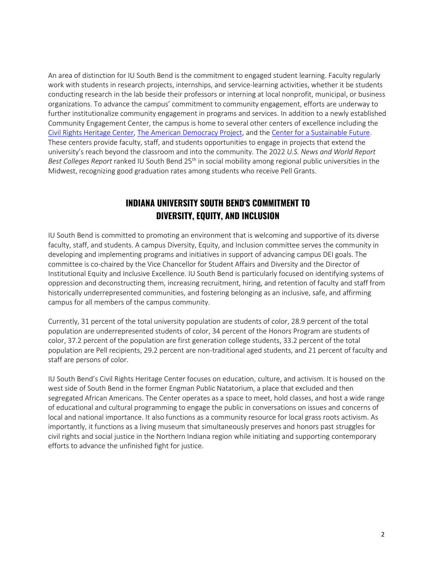An area of distinction for IU South Bend is the commitment to engaged student learning. Faculty regularly work with students in research projects, internships, and service-learning activities, whether it be students conducting research in the lab beside their professors or interning at local nonprofit, municipal, or business organizations. To advance the campus' commitment to community engagement, efforts are underway to further institutionalize community engagement in programs and services. In addition to a newly established Community Engagement Center, the campus is home to several other centers of excellence including the [Civil Rights Heritage Center,](https://clas.iusb.edu/centers/civil-rights/index.html) [The American Democracy Project,](https://clas.iusb.edu/centers/adp/index.html) and th[e Center for a](https://clas.iusb.edu/centers/cs-future/index.html) [Sustainable Future.](https://clas.iusb.edu/centers/cs-future/index.html)  These centers provide faculty, staff, and students opportunities to engage in projects that extend the university's reach beyond the classroom and into the community. The 2022 *U.S. News and World Report Best Colleges Report* ranked IU South Bend 25th in social mobility among regional public universities in the Midwest, recognizing good graduation rates among students who receive Pell Grants.

# **INDIANA UNIVERSITY SOUTH BEND'S COMMITMENT TO DIVERSITY, EQUITY, AND INCLUSION**

IU South Bend is committed to promoting an environment that is welcoming and supportive of its diverse faculty, staff, and students. A campus Diversity, Equity, and Inclusion committee serves the community in developing and implementing programs and initiatives in support of advancing campus DEI goals. The committee is co-chaired by the Vice Chancellor for Student Affairs and Diversity and the Director of Institutional Equity and Inclusive Excellence. IU South Bend is particularly focused on identifying systems of oppression and deconstructing them, increasing recruitment, hiring, and retention of faculty and staff from historically underrepresented communities, and fostering belonging as an inclusive, safe, and affirming campus for all members of the campus community.

Currently, 31 percent of the total university population are students of color, 28.9 percent of the total population are underrepresented students of color, 34 percent of the Honors Program are students of color, 37.2 percent of the population are first generation college students, 33.2 percent of the total population are Pell recipients, 29.2 percent are non-traditional aged students, and 21 percent of faculty and staff are persons of color.

IU South Bend's Civil Rights Heritage Center focuses on education, culture, and activism. It is housed on the west side of South Bend in the former Engman Public Natatorium, a place that excluded and then segregated African Americans. The Center operates as a space to meet, hold classes, and host a wide range of educational and cultural programming to engage the public in conversations on issues and concerns of local and national importance. It also functions as a community resource for local grass roots activism. As importantly, it functions as a living museum that simultaneously preserves and honors past struggles for civil rights and social justice in the Northern Indiana region while initiating and supporting contemporary efforts to advance the unfinished fight for justice.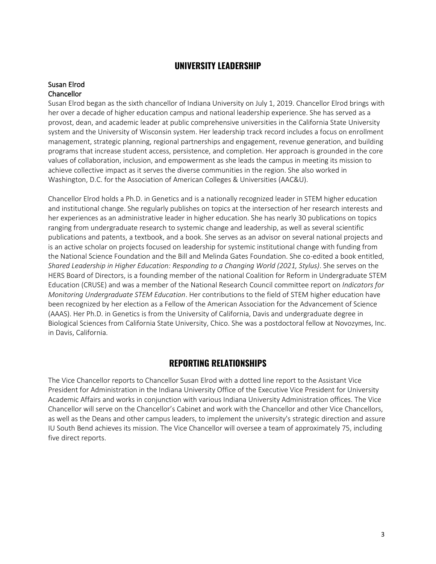### **UNIVERSITY LEADERSHIP**

#### Susan Elrod **Chancellor**

Susan Elrod began as the sixth chancellor of Indiana University on July 1, 2019. Chancellor Elrod brings with her over a decade of higher education campus and national leadership experience. She has served as a provost, dean, and academic leader at public comprehensive universities in the California State University system and the University of Wisconsin system. Her leadership track record includes a focus on enrollment management, strategic planning, regional partnerships and engagement, revenue generation, and building programs that increase student access, persistence, and completion. Her approach is grounded in the core values of collaboration, inclusion, and empowerment as she leads the campus in meeting its mission to achieve collective impact as it serves the diverse communities in the region. She also worked in Washington, D.C. for the Association of American Colleges & Universities (AAC&U).

Chancellor Elrod holds a Ph.D. in Genetics and is a nationally recognized leader in STEM higher education and institutional change. She regularly publishes on topics at the intersection of her research interests and her experiences as an administrative leader in higher education. She has nearly 30 publications on topics ranging from undergraduate research to systemic change and leadership, as well as several scientific publications and patents, a textbook, and a book. She serves as an advisor on several national projects and is an active scholar on projects focused on leadership for systemic institutional change with funding from the National Science Foundation and the Bill and Melinda Gates Foundation. She co-edited a book entitled, *Shared Leadership in Higher Education: Responding to a Changing World (2021, Stylus)*. She serves on the HERS Board of Directors, is a founding member of the national Coalition for Reform in Undergraduate STEM Education (CRUSE) and was a member of the National Research Council committee report on *Indicators for Monitoring Undergraduate STEM Education*. Her contributions to the field of STEM higher education have been recognized by her election as a Fellow of the American Association for the Advancement of Science (AAAS). Her Ph.D. in Genetics is from the University of California, Davis and undergraduate degree in Biological Sciences from California State University, Chico. She was a postdoctoral fellow at Novozymes, Inc. in Davis, California.

### **REPORTING RELATIONSHIPS**

The Vice Chancellor reports to Chancellor Susan Elrod with a dotted line report to the Assistant Vice President for Administration in the Indiana University Office of the Executive Vice President for University Academic Affairs and works in conjunction with various Indiana University Administration offices. The Vice Chancellor will serve on the Chancellor's Cabinet and work with the Chancellor and other Vice Chancellors, as well as the Deans and other campus leaders, to implement the university's strategic direction and assure IU South Bend achieves its mission. The Vice Chancellor will oversee a team of approximately 75, including five direct reports.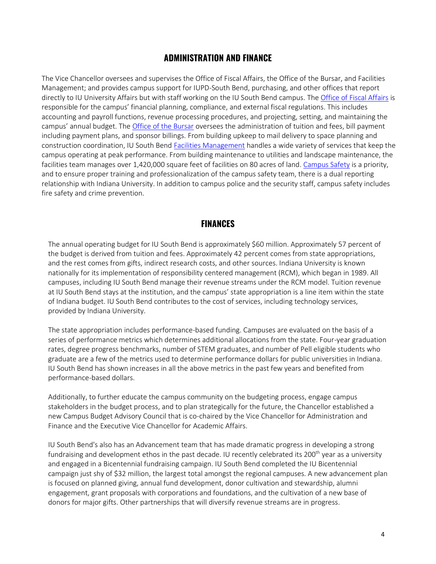### **ADMINISTRATION AND FINANCE**

The Vice Chancellor oversees and supervises the Office of Fiscal Affairs, the Office of the Bursar, and Facilities Management; and provides campus support for IUPD-South Bend, purchasing, and other offices that report directly to IU University Affairs but with staff working on the IU South Bend campus. The [Office of Fiscal Affairs](https://administration.iusb.edu/fiscal-affairs/index.html) is responsible for the campus' financial planning, compliance, and external fiscal regulations. This includes accounting and payroll functions, revenue processing procedures, and projecting, setting, and maintaining the campus' annual budget. The [Office of the Bursar](https://administration.iusb.edu/bursar/index.html) oversees the administration of tuition and fees, bill payment including payment plans, and sponsor billings. From building upkeep to mail delivery to space planning and construction coordination, IU South Bend [Facilities Management](https://administration.iusb.edu/facilities/index.html) handles a wide variety of services that keep the campus operating at peak performance. From building maintenance to utilities and landscape maintenance, the facilities team manages over 1,420,000 square feet of facilities on 80 acres of land. [Campus Safety](https://administration.iusb.edu/police/index.html) is a priority, and to ensure proper training and professionalization of the campus safety team, there is a dual reporting relationship with Indiana University. In addition to campus police and the security staff, campus safety includes fire safety and crime prevention.

#### **FINANCES**

The annual operating budget for IU South Bend is approximately \$60 million. Approximately 57 percent of the budget is derived from tuition and fees. Approximately 42 percent comes from state appropriations, and the rest comes from gifts, indirect research costs, and other sources. Indiana University is known nationally for its implementation of responsibility centered management (RCM), which began in 1989. All campuses, including IU South Bend manage their revenue streams under the RCM model. Tuition revenue at IU South Bend stays at the institution, and the campus' state appropriation is a line item within the state of Indiana budget. IU South Bend contributes to the cost of services, including technology services, provided by Indiana University.

The state appropriation includes performance-based funding. Campuses are evaluated on the basis of a series of performance metrics which determines additional allocations from the state. Four-year graduation rates, degree progress benchmarks, number of STEM graduates, and number of Pell eligible students who graduate are a few of the metrics used to determine performance dollars for public universities in Indiana. IU South Bend has shown increases in all the above metrics in the past few years and benefited from performance-based dollars.

Additionally, to further educate the campus community on the budgeting process, engage campus stakeholders in the budget process, and to plan strategically for the future, the Chancellor established a new Campus Budget Advisory Council that is co-chaired by the Vice Chancellor for Administration and Finance and the Executive Vice Chancellor for Academic Affairs.

IU South Bend's also has an Advancement team that has made dramatic progress in developing a strong fundraising and development ethos in the past decade. IU recently celebrated its 200<sup>th</sup> year as a university and engaged in a Bicentennial fundraising campaign. IU South Bend completed the IU Bicentennial campaign just shy of \$32 million, the largest total amongst the regional campuses. A new advancement plan is focused on planned giving, annual fund development, donor cultivation and stewardship, alumni engagement, grant proposals with corporations and foundations, and the cultivation of a new base of donors for major gifts. Other partnerships that will diversify revenue streams are in progress.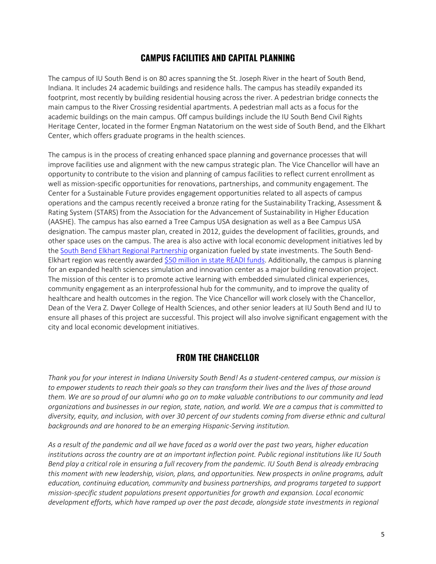# **CAMPUS FACILITIES AND CAPITAL PLANNING**

The campus of IU South Bend is on 80 acres spanning the St. Joseph River in the heart of South Bend, Indiana. It includes 24 academic buildings and residence halls. The campus has steadily expanded its footprint, most recently by building residential housing across the river. A pedestrian bridge connects the main campus to the River Crossing residential apartments. A pedestrian mall acts as a focus for the academic buildings on the main campus. Off campus buildings include the IU South Bend Civil Rights Heritage Center, located in the former Engman Natatorium on the west side of South Bend, and the Elkhart Center, which offers graduate programs in the health sciences.

The campus is in the process of creating enhanced space planning and governance processes that will improve facilities use and alignment with the new campus strategic plan. The Vice Chancellor will have an opportunity to contribute to the vision and planning of campus facilities to reflect current enrollment as well as mission-specific opportunities for renovations, partnerships, and community engagement. The Center for a Sustainable Future provides engagement opportunities related to all aspects of campus operations and the campus recently received a bronze rating for the Sustainability Tracking, Assessment & Rating System (STARS) from the Association for the Advancement of Sustainability in Higher Education (AASHE). The campus has also earned a Tree Campus USA designation as well as a Bee Campus USA designation. The campus master plan, created in 2012, guides the development of facilities, grounds, and other space uses on the campus. The area is also active with local economic development initiatives led by the [South Bend Elkhart Regional Partnership](https://southbendelkhart.org/) organization fueled by state investments. The South Bend-Elkhart region was recently awarded [\\$50 million in state READI funds.](https://southbendelkhart.org/news/gov-holcomb-awards-500-million-to-indiana-readi-regions-in-uniquely-innovative-nationally-recognized-program/) Additionally, the campus is planning for an expanded health sciences simulation and innovation center as a major building renovation project. The mission of this center is to promote active learning with embedded simulated clinical experiences, community engagement as an interprofessional hub for the community, and to improve the quality of healthcare and health outcomes in the region. The Vice Chancellor will work closely with the Chancellor, Dean of the Vera Z. Dwyer College of Health Sciences, and other senior leaders at IU South Bend and IU to ensure all phases of this project are successful. This project will also involve significant engagement with the city and local economic development initiatives.

### **FROM THE CHANCELLOR**

*Thank you for your interest in Indiana University South Bend! As a student-centered campus, our mission is to empower students to reach their goals so they can transform their lives and the lives of those around them. We are so proud of our alumni who go on to make valuable contributions to our community and lead organizations and businesses in our region, state, nation, and world. We are a campus that is committed to diversity, equity, and inclusion, with over 30 percent of our students coming from diverse ethnic and cultural backgrounds and are honored to be an emerging Hispanic-Serving institution.*

*As a result of the pandemic and all we have faced as a world over the past two years, higher education institutions across the country are at an important inflection point. Public regional institutions like IU South Bend play a critical role in ensuring a full recovery from the pandemic. IU South Bend is already embracing this moment with new leadership, vision, plans, and opportunities. New prospects in online programs, adult education, continuing education, community and business partnerships, and programs targeted to support mission-specific student populations present opportunities for growth and expansion. Local economic*  development efforts, which have ramped up over the past decade, alongside state investments in regional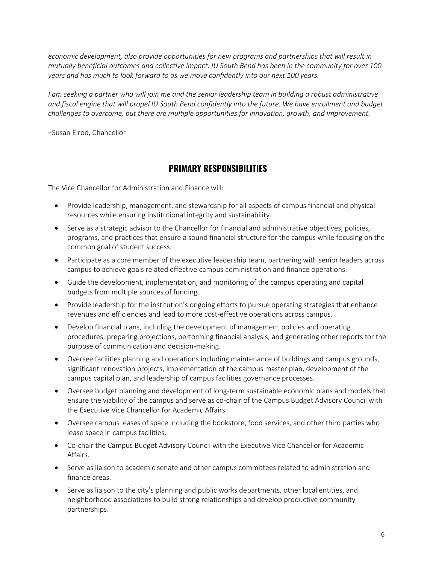*economic development, also provide opportunities for new programs and partnerships that will result in mutually beneficial outcomes and collective impact. IU South Bend has been in the community for over 100 years and has much to look forward to as we move confidently into our next 100 years.*

*I* am seeking a partner who will join me and the senior leadership team in building a robust administrative *and fiscal engine that will propel IU South Bend confidently into the future. We have enrollment and budget challenges to overcome, but there are multiple opportunities for innovation, growth, and improvement.*

–Susan Elrod, Chancellor

#### **PRIMARY RESPONSIBILITIES**

The Vice Chancellor for Administration and Finance will:

- Provide leadership, management, and stewardship for all aspects of campus financial and physical resources while ensuring institutional integrity and sustainability.
- Serve as a strategic advisor to the Chancellor for financial and administrative objectives, policies, programs, and practices that ensure a sound financial structure for the campus while focusing on the common goal of student success.
- Participate as a core member of the executive leadership team, partnering with senior leaders across campus to achieve goals related effective campus administration and finance operations.
- Guide the development, implementation, and monitoring of the campus operating and capital budgets from multiple sources of funding.
- Provide leadership for the institution's ongoing efforts to pursue operating strategies that enhance revenues and efficiencies and lead to more cost-effective operations across campus.
- Develop financial plans, including the development of management policies and operating procedures, preparing projections, performing financial analysis, and generating other reports for the purpose of communication and decision-making.
- Oversee facilities planning and operations including maintenance of buildings and campus grounds, significant renovation projects, implementation of the campus master plan, development of the campus capital plan, and leadership of campus facilities governance processes.
- Oversee budget planning and development of long-term sustainable economic plans and models that ensure the viability of the campus and serve as co-chair of the Campus Budget Advisory Council with the Executive Vice Chancellor for Academic Affairs.
- Oversee campus leases of space including the bookstore, food services, and other third parties who lease space in campus facilities.
- Co-chair the Campus Budget Advisory Council with the Executive Vice Chancellor for Academic Affairs.
- Serve as liaison to academic senate and other campus committees related to administration and finance areas.
- Serve as liaison to the city's planning and public works departments, other local entities, and neighborhood associations to build strong relationships and develop productive community partnerships.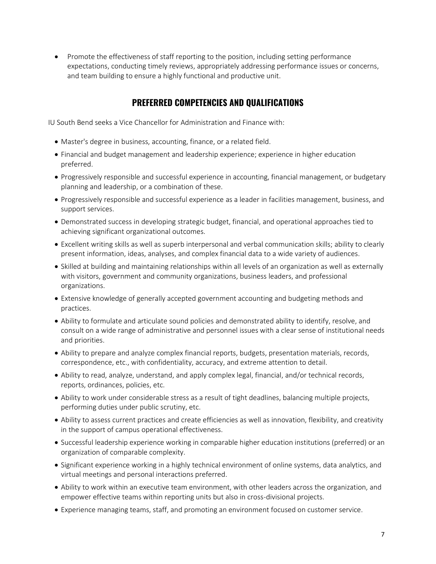• Promote the effectiveness of staff reporting to the position, including setting performance expectations, conducting timely reviews, appropriately addressing performance issues or concerns, and team building to ensure a highly functional and productive unit.

# **PREFERRED COMPETENCIES AND QUALIFICATIONS**

IU South Bend seeks a Vice Chancellor for Administration and Finance with:

- Master's degree in business, accounting, finance, or a related field.
- Financial and budget management and leadership experience; experience in higher education preferred.
- Progressively responsible and successful experience in accounting, financial management, or budgetary planning and leadership, or a combination of these.
- Progressively responsible and successful experience as a leader in facilities management, business, and support services.
- Demonstrated success in developing strategic budget, financial, and operational approaches tied to achieving significant organizational outcomes.
- Excellent writing skills as well as superb interpersonal and verbal communication skills; ability to clearly present information, ideas, analyses, and complex financial data to a wide variety of audiences.
- Skilled at building and maintaining relationships within all levels of an organization as well as externally with visitors, government and community organizations, business leaders, and professional organizations.
- Extensive knowledge of generally accepted government accounting and budgeting methods and practices.
- Ability to formulate and articulate sound policies and demonstrated ability to identify, resolve, and consult on a wide range of administrative and personnel issues with a clear sense of institutional needs and priorities.
- Ability to prepare and analyze complex financial reports, budgets, presentation materials, records, correspondence, etc., with confidentiality, accuracy, and extreme attention to detail.
- Ability to read, analyze, understand, and apply complex legal, financial, and/or technical records, reports, ordinances, policies, etc.
- Ability to work under considerable stress as a result of tight deadlines, balancing multiple projects, performing duties under public scrutiny, etc.
- Ability to assess current practices and create efficiencies as well as innovation, flexibility, and creativity in the support of campus operational effectiveness.
- Successful leadership experience working in comparable higher education institutions (preferred) or an organization of comparable complexity.
- Significant experience working in a highly technical environment of online systems, data analytics, and virtual meetings and personal interactions preferred.
- Ability to work within an executive team environment, with other leaders across the organization, and empower effective teams within reporting units but also in cross-divisional projects.
- Experience managing teams, staff, and promoting an environment focused on customer service.